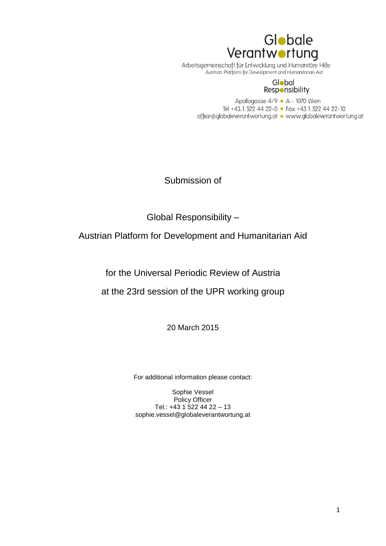

Arbeitsgemeinschaft für Entwicklung und Humanitäre Hilfe<br>Austrian Platform for Development and Humanitarian Aid

#### Global **Responsibility**

Apollogasse 4/9 · A - 1070 Wien Tel +43.1.522 44 22-0 • Fax +43.1.522 44 22-10 office@globaleverantwortung.at • www.globaleverantwortung.at

Submission of

Global Responsibility –

Austrian Platform for Development and Humanitarian Aid

for the Universal Periodic Review of Austria

at the 23rd session of the UPR working group

20 March 2015

For additional information please contact:

Sophie Vessel Policy Officer Tel.: +43 1 522 44 22 – 13 sophie.vessel@globaleverantwortung.at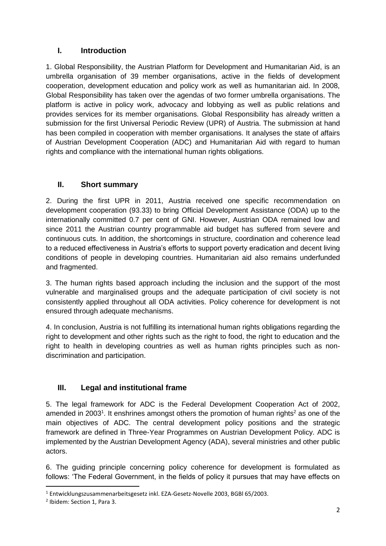# **I. Introduction**

1. Global Responsibility, the Austrian Platform for Development and Humanitarian Aid, is an umbrella organisation of 39 member organisations, active in the fields of development cooperation, development education and policy work as well as humanitarian aid. In 2008, Global Responsibility has taken over the agendas of two former umbrella organisations. The platform is active in policy work, advocacy and lobbying as well as public relations and provides services for its member organisations. Global Responsibility has already written a submission for the first Universal Periodic Review (UPR) of Austria. The submission at hand has been compiled in cooperation with member organisations. It analyses the state of affairs of Austrian Development Cooperation (ADC) and Humanitarian Aid with regard to human rights and compliance with the international human rights obligations.

## **II. Short summary**

2. During the first UPR in 2011, Austria received one specific recommendation on development cooperation (93.33) to bring Official Development Assistance (ODA) up to the internationally committed 0.7 per cent of GNI. However, Austrian ODA remained low and since 2011 the Austrian country programmable aid budget has suffered from severe and continuous cuts. In addition, the shortcomings in structure, coordination and coherence lead to a reduced effectiveness in Austria's efforts to support poverty eradication and decent living conditions of people in developing countries. Humanitarian aid also remains underfunded and fragmented.

3. The human rights based approach including the inclusion and the support of the most vulnerable and marginalised groups and the adequate participation of civil society is not consistently applied throughout all ODA activities. Policy coherence for development is not ensured through adequate mechanisms.

4. In conclusion, Austria is not fulfilling its international human rights obligations regarding the right to development and other rights such as the right to food, the right to education and the right to health in developing countries as well as human rights principles such as nondiscrimination and participation.

# **III. Legal and institutional frame**

5. The legal framework for ADC is the Federal Development Cooperation Act of 2002, amended in 2003<sup>1</sup>. It enshrines amongst others the promotion of human rights<sup>2</sup> as one of the main objectives of ADC. The central development policy positions and the strategic framework are defined in Three-Year Programmes on Austrian Development Policy. ADC is implemented by the Austrian Development Agency (ADA), several ministries and other public actors.

6. The guiding principle concerning policy coherence for development is formulated as follows: 'The Federal Government, in the fields of policy it pursues that may have effects on

1

<sup>1</sup> Entwicklungszusammenarbeitsgesetz inkl. EZA-Gesetz-Novelle 2003, BGBl 65/2003.

<sup>&</sup>lt;sup>2</sup> Ibidem: Section 1, Para 3.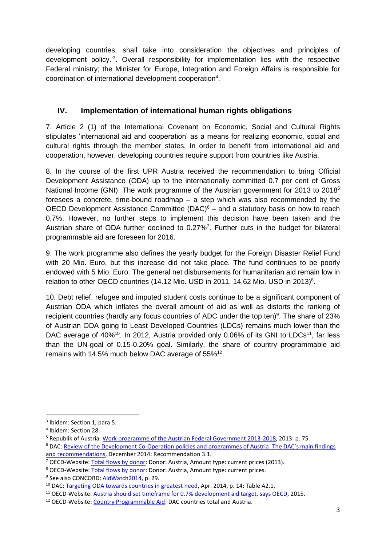developing countries, shall take into consideration the objectives and principles of development policy.'<sup>3</sup> . Overall responsibility for implementation lies with the respective Federal ministry; the Minister for Europe, Integration and Foreign Affairs is responsible for coordination of international development cooperation<sup>4</sup>.

# **IV. Implementation of international human rights obligations**

7. Article 2 (1) of the International Covenant on Economic, Social and Cultural Rights stipulates 'international aid and cooperation' as a means for realizing economic, social and cultural rights through the member states. In order to benefit from international aid and cooperation, however, developing countries require support from countries like Austria.

8. In the course of the first UPR Austria received the recommendation to bring Official Development Assistance (ODA) up to the internationally committed 0.7 per cent of Gross National Income (GNI). The work programme of the Austrian government for 2013 to 2018<sup>5</sup> foresees a concrete, time-bound roadmap – a step which was also recommended by the OECD Development Assistance Committee  $(DAC)^6$  – and a statutory basis on how to reach 0,7%. However, no further steps to implement this decision have been taken and the Austrian share of ODA further declined to 0.27%<sup>7</sup>. Further cuts in the budget for bilateral programmable aid are foreseen for 2016.

9. The work programme also defines the yearly budget for the Foreign Disaster Relief Fund with 20 Mio. Euro, but this increase did not take place. The fund continues to be poorly endowed with 5 Mio. Euro. The general net disbursements for humanitarian aid remain low in relation to other OECD countries (14.12 Mio. USD in 2011, 14.62 Mio. USD in 2013)<sup>8</sup>.

10. Debt relief, refugee and imputed student costs continue to be a significant component of Austrian ODA which inflates the overall amount of aid as well as distorts the ranking of recipient countries (hardly any focus countries of ADC under the top ten)<sup>9</sup>. The share of 23% of Austrian ODA going to Least Developed Countries (LDCs) remains much lower than the DAC average of 40%<sup>10</sup>. In 2012, Austria provided only 0.06% of its GNI to LDCs<sup>11</sup>, far less than the UN-goal of 0.15-0.20% goal. Similarly, the share of country programmable aid remains with 14.5% much below DAC average of  $55\%^{12}$ .

**.** 

<sup>5</sup> Republik of Austria: [Work programme of the Austrian Federal Government 2013-2018,](https://www.bka.gv.at/DocView.axd?CobId=53588) 2013: p. 75.

<sup>7</sup> OECD-Website: [Total flows by donor:](http://stats.oecd.org/Index.aspx?QueryId=63165) Donor: Austria, Amount type: current prices (2013).

<sup>9</sup> See also CONCORD[: AidWatch2014,](http://www.globaleverantwortung.at/images/doku/aidwatch_2014.pdf) p. 29.

<sup>&</sup>lt;sup>3</sup> Ibidem: Section 1, para 5.

<sup>4</sup> Ibidem: Section 28.

<sup>6</sup> DAC: Review of the Development Co-Operation policies [and programmes of Austria: The DAC's main findings](http://www.keepeek.com/Digital-Asset-Management/oecd/development/oecd-development-co-operation-peer-reviews-austria-2015/the-dac-s-main-findings-and-recommendations_9789264227958-3-en#page1)  [and recommendations,](http://www.keepeek.com/Digital-Asset-Management/oecd/development/oecd-development-co-operation-peer-reviews-austria-2015/the-dac-s-main-findings-and-recommendations_9789264227958-3-en#page1) December 2014: Recommendation 3.1.

<sup>8</sup> OECD-Website: [Total flows by donor:](http://stats.oecd.org/Index.aspx?QueryId=63165) Donor: Austria, Amount type: current prices.

<sup>&</sup>lt;sup>10</sup> DAC: [Targeting ODA towards countries in greatest need,](http://www.oecd.org/dac/externalfinancingfordevelopment/documentupload/DAC%282014%2920.pdf) Apr. 2014, p. 14: Table A2.1.

<sup>11</sup> OECD-Website: [Austria should set timeframe for 0.7% development aid target, says OECD,](http://www.oecd.org/newsroom/austria-should-set-timeframe-for-07-development-aid-target.htm) 2015.

<sup>12</sup> OECD-Website: [Country Programmable Aid:](http://webnet.oecd.org/dcdgraphs/CPA_donor/) DAC countries total and Austria.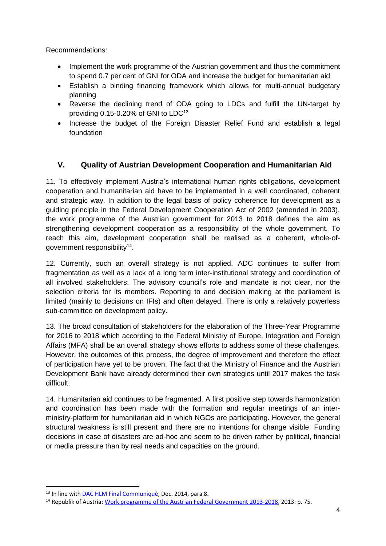Recommendations:

- Implement the work programme of the Austrian government and thus the commitment to spend 0.7 per cent of GNI for ODA and increase the budget for humanitarian aid
- Establish a binding financing framework which allows for multi-annual budgetary planning
- Reverse the declining trend of ODA going to LDCs and fulfill the UN-target by providing  $0.15$ -0.20% of GNI to LDC<sup>13</sup>
- Increase the budget of the Foreign Disaster Relief Fund and establish a legal foundation

## **V. Quality of Austrian Development Cooperation and Humanitarian Aid**

11. To effectively implement Austria's international human rights obligations, development cooperation and humanitarian aid have to be implemented in a well coordinated, coherent and strategic way. In addition to the legal basis of policy coherence for development as a guiding principle in the Federal Development Cooperation Act of 2002 (amended in 2003), the work programme of the Austrian government for 2013 to 2018 defines the aim as strengthening development cooperation as a responsibility of the whole government. To reach this aim, development cooperation shall be realised as a coherent, whole-ofgovernment responsibility<sup>14</sup>.

12. Currently, such an overall strategy is not applied. ADC continues to suffer from fragmentation as well as a lack of a long term inter-institutional strategy and coordination of all involved stakeholders. The advisory council's role and mandate is not clear, nor the selection criteria for its members. Reporting to and decision making at the parliament is limited (mainly to decisions on IFIs) and often delayed. There is only a relatively powerless sub-committee on development policy.

13. The broad consultation of stakeholders for the elaboration of the Three-Year Programme for 2016 to 2018 which according to the Federal Ministry of Europe, Integration and Foreign Affairs (MFA) shall be an overall strategy shows efforts to address some of these challenges. However, the outcomes of this process, the degree of improvement and therefore the effect of participation have yet to be proven. The fact that the Ministry of Finance and the Austrian Development Bank have already determined their own strategies until 2017 makes the task difficult.

14. Humanitarian aid continues to be fragmented. A first positive step towards harmonization and coordination has been made with the formation and regular meetings of an interministry-platform for humanitarian aid in which NGOs are participating. However, the general structural weakness is still present and there are no intentions for change visible. Funding decisions in case of disasters are ad-hoc and seem to be driven rather by political, financial or media pressure than by real needs and capacities on the ground.

1

<sup>&</sup>lt;sup>13</sup> In line with [DAC HLM Final Communiqué,](http://www.oecd.org/dac/OECD%20DAC%20HLM%20Communique.pdf) Dec. 2014, para 8.

<sup>&</sup>lt;sup>14</sup> Republik of Austria[: Work programme of the Austrian Federal Government](https://www.bka.gv.at/DocView.axd?CobId=53588) 2013-2018, 2013; p. 75.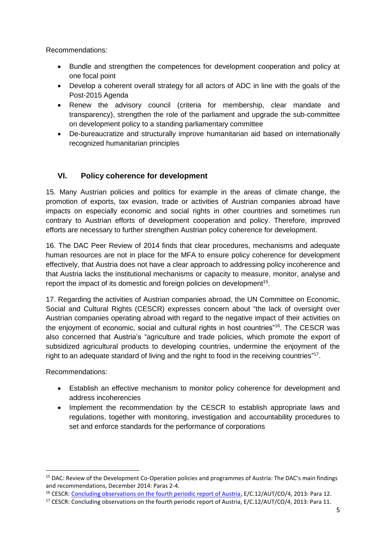Recommendations:

- Bundle and strengthen the competences for development cooperation and policy at one focal point
- Develop a coherent overall strategy for all actors of ADC in line with the goals of the Post-2015 Agenda
- Renew the advisory council (criteria for membership, clear mandate and transparency), strengthen the role of the parliament and upgrade the sub-committee on development policy to a standing parliamentary committee
- De-bureaucratize and structurally improve humanitarian aid based on internationally recognized humanitarian principles

## **VI. Policy coherence for development**

15. Many Austrian policies and politics for example in the areas of climate change, the promotion of exports, tax evasion, trade or activities of Austrian companies abroad have impacts on especially economic and social rights in other countries and sometimes run contrary to Austrian efforts of development cooperation and policy. Therefore, improved efforts are necessary to further strengthen Austrian policy coherence for development.

16. The DAC Peer Review of 2014 finds that clear procedures, mechanisms and adequate human resources are not in place for the MFA to ensure policy coherence for development effectively, that Austria does not have a clear approach to addressing policy incoherence and that Austria lacks the institutional mechanisms or capacity to measure, monitor, analyse and report the impact of its domestic and foreign policies on development<sup>15</sup>.

17. Regarding the activities of Austrian companies abroad, the UN Committee on Economic, Social and Cultural Rights (CESCR) expresses concern about "the lack of oversight over Austrian companies operating abroad with regard to the negative impact of their activities on the enjoyment of economic, social and cultural rights in host countries"<sup>16</sup>. The CESCR was also concerned that Austria's "agriculture and trade policies, which promote the export of subsidized agricultural products to developing countries, undermine the enjoyment of the right to an adequate standard of living and the right to food in the receiving countries"<sup>17</sup>.

Recommendations:

**.** 

- Establish an effective mechanism to monitor policy coherence for development and address incoherencies
- Implement the recommendation by the CESCR to establish appropriate laws and regulations, together with monitoring, investigation and accountability procedures to set and enforce standards for the performance of corporations

<sup>&</sup>lt;sup>15</sup> DAC: Review of the Development Co-Operation policies and programmes of Austria: The DAC's main findings and recommendations, December 2014: Paras 2-4.

<sup>16</sup> CESCR: [Concluding observations on the fourth periodic report of Austria,](http://tbinternet.ohchr.org/_layouts/treatybodyexternal/Download.aspx?symbolno=E%2fC.12%2fAUT%2fCO%2f4&Lang=en) E/C.12/AUT/CO/4, 2013: Para 12.

<sup>&</sup>lt;sup>17</sup> CESCR: Concluding observations on the fourth periodic report of Austria, E/C.12/AUT/CO/4, 2013: Para 11.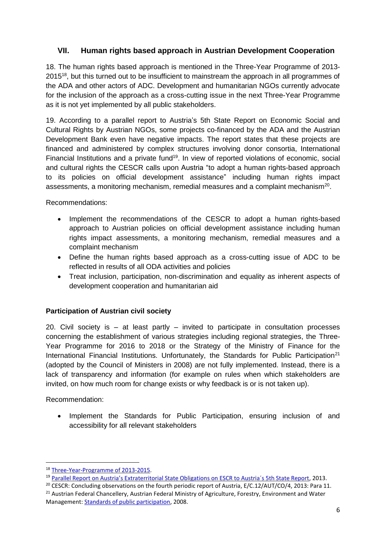## **VII. Human rights based approach in Austrian Development Cooperation**

18. The human rights based approach is mentioned in the Three-Year Programme of 2013- 2015<sup>18</sup>, but this turned out to be insufficient to mainstream the approach in all programmes of the ADA and other actors of ADC. Development and humanitarian NGOs currently advocate for the inclusion of the approach as a cross-cutting issue in the next Three-Year Programme as it is not yet implemented by all public stakeholders.

19. According to a parallel report to Austria's 5th State Report on Economic Social and Cultural Rights by Austrian NGOs, some projects co-financed by the ADA and the Austrian Development Bank even have negative impacts. The report states that these projects are financed and administered by complex structures involving donor consortia, International Financial Institutions and a private fund<sup>19</sup>. In view of reported violations of economic, social and cultural rights the CESCR calls upon Austria "to adopt a human rights-based approach to its policies on official development assistance" including human rights impact assessments, a monitoring mechanism, remedial measures and a complaint mechanism<sup>20</sup>.

Recommendations:

- Implement the recommendations of the CESCR to adopt a human rights-based approach to Austrian policies on official development assistance including human rights impact assessments, a monitoring mechanism, remedial measures and a complaint mechanism
- Define the human rights based approach as a cross-cutting issue of ADC to be reflected in results of all ODA activities and policies
- Treat inclusion, participation, non-discrimination and equality as inherent aspects of development cooperation and humanitarian aid

#### **Participation of Austrian civil society**

20. Civil society is – at least partly – invited to participate in consultation processes concerning the establishment of various strategies including regional strategies, the Three-Year Programme for 2016 to 2018 or the Strategy of the Ministry of Finance for the International Financial Institutions. Unfortunately, the Standards for Public Participation<sup>21</sup> (adopted by the Council of Ministers in 2008) are not fully implemented. Instead, there is a lack of transparency and information (for example on rules when which stakeholders are invited, on how much room for change exists or why feedback is or is not taken up).

Recommendation:

**.** 

• Implement the Standards for Public Participation, ensuring inclusion of and accessibility for all relevant stakeholders

<sup>18</sup> [Three-Year-Programme of 2013-2015.](http://www.entwicklung.at/uploads/media/ThreeYearProgramme_13-15_02.pdf)

<sup>&</sup>lt;sup>19</sup> Parallel Report on Austria's Extraterritorial State Obligations on ESCR to Austria's 5th State Report, 2013.

<sup>&</sup>lt;sup>20</sup> CESCR: Concluding observations on the fourth periodic report of Austria, E/C.12/AUT/CO/4, 2013: Para 11.

<sup>&</sup>lt;sup>21</sup> Austrian Federal Chancellery, Austrian Federal Ministry of Agriculture, Forestry, Environment and Water Management[: Standards of public participation,](http://www.partizipation.at/standards_pp.html) 2008.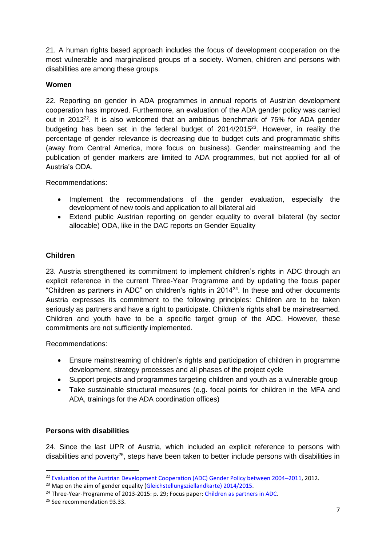21. A human rights based approach includes the focus of development cooperation on the most vulnerable and marginalised groups of a society. Women, children and persons with disabilities are among these groups.

### **Women**

22. Reporting on gender in ADA programmes in annual reports of Austrian development cooperation has improved. Furthermore, an evaluation of the ADA gender policy was carried out in 2012<sup>22</sup>. It is also welcomed that an ambitious benchmark of 75% for ADA gender budgeting has been set in the federal budget of 2014/2015<sup>23</sup>. However, in reality the percentage of gender relevance is decreasing due to budget cuts and programmatic shifts (away from Central America, more focus on business). Gender mainstreaming and the publication of gender markers are limited to ADA programmes, but not applied for all of Austria's ODA.

Recommendations:

- Implement the recommendations of the gender evaluation, especially the development of new tools and application to all bilateral aid
- Extend public Austrian reporting on gender equality to overall bilateral (by sector allocable) ODA, like in the DAC reports on Gender Equality

## **Children**

23. Austria strengthened its commitment to implement children's rights in ADC through an explicit reference in the current Three-Year Programme and by updating the focus paper "Children as partners in ADC" on children's rights in 2014<sup>24</sup> . In these and other documents Austria expresses its commitment to the following principles: Children are to be taken seriously as partners and have a right to participate. Children's rights shall be mainstreamed. Children and youth have to be a specific target group of the ADC. However, these commitments are not sufficiently implemented.

Recommendations:

- Ensure mainstreaming of children's rights and participation of children in programme development, strategy processes and all phases of the project cycle
- Support projects and programmes targeting children and youth as a vulnerable group
- Take sustainable structural measures (e.g. focal points for children in the MFA and ADA, trainings for the ADA coordination offices)

#### **Persons with disabilities**

24. Since the last UPR of Austria, which included an explicit reference to persons with disabilities and poverty<sup>25</sup>, steps have been taken to better include persons with disabilities in

**.** 

<sup>&</sup>lt;sup>22</sup> [Evaluation of the Austrian Development Cooperation \(ADC\) Gender Policy between 2004](http://www.oecd.org/derec/austria/Final%20Evaluation%20Report%20GENDER.pdf)–2011, 2012.

 $^{23}$  Map on the aim of gender equality [\(Gleichstellungsziellandkarte\)](http://www.parlament.gv.at/ZUSD/BUDGET/BD_-_Gender_Budgeting-Landkarte_BFG_2014_u._2015.pdf) 2014/2015.

<sup>&</sup>lt;sup>24</sup> Three-Year-Programme of 2013-2015: p. 29; Focus paper: [Children as partners in ADC.](http://www.entwicklung.at/uploads/media/Focus_Children_Jan2011_01.pdf)

<sup>&</sup>lt;sup>25</sup> See recommendation 93.33.